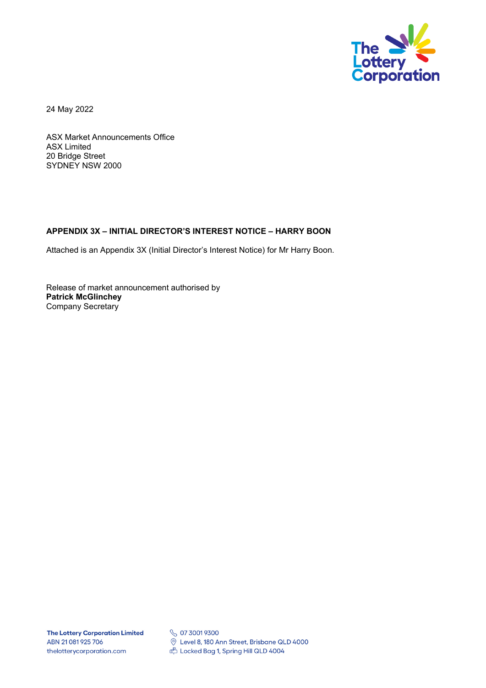

24 May 2022

ASX Market Announcements Office ASX Limited 20 Bridge Street SYDNEY NSW 2000

## **APPENDIX 3X – INITIAL DIRECTOR'S INTEREST NOTICE – HARRY BOON**

Attached is an Appendix 3X (Initial Director's Interest Notice) for Mr Harry Boon.

Release of market announcement authorised by **Patrick McGlinchey**  Company Secretary

**S** 07 3001 9300 © Level 8, 180 Ann Street, Brisbane QLD 4000 Locked Bag 1, Spring Hill QLD 4004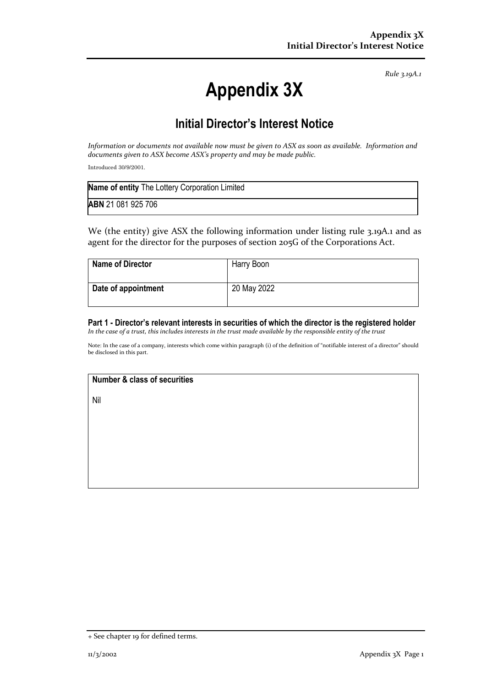*Rule 3.19A.1*

# **Appendix 3X**

## **Initial Director's Interest Notice**

*Information or documents not available now must be given to ASX as soon as available. Information and documents given to ASX become ASX's property and may be made public.*

Introduced 30/9/2001.

| Name of entity The Lottery Corporation Limited |  |
|------------------------------------------------|--|
| <b>ABN</b> 21 081 925 706                      |  |

We (the entity) give ASX the following information under listing rule 3.19A.1 and as agent for the director for the purposes of section 205G of the Corporations Act.

| <b>Name of Director</b> | Harry Boon  |
|-------------------------|-------------|
| Date of appointment     | 20 May 2022 |

## **Part 1 - Director's relevant interests in securities of which the director is the registered holder**

*In the case of a trust, this includes interests in the trust made available by the responsible entity of the trust*

Note: In the case of a company, interests which come within paragraph (i) of the definition of "notifiable interest of a director" should be disclosed in this part.

## **Number & class of securities**

Nil

<sup>+</sup> See chapter 19 for defined terms.